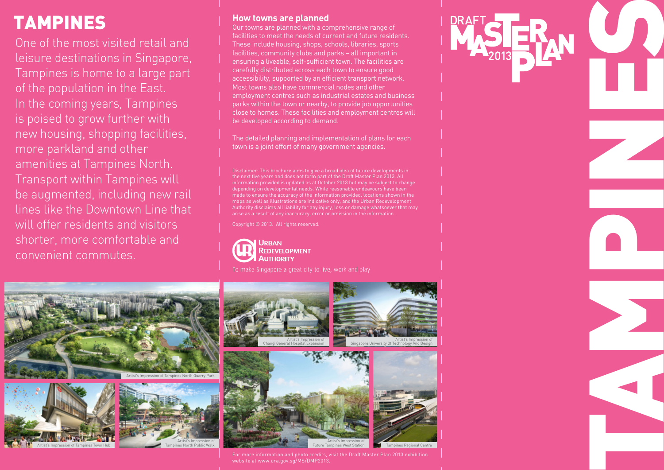# TAMPINES

One of the most visited retail and leisure destinations in Singapore, Tampines is home to a large part of the population in the East. In the coming years, Tampines is poised to grow further with new housing, shopping facilities, more parkland and other amenities at Tampines North. Transport within Tampines will be augmented, including new rail lines like the Downtown Line that will offer residents and visitors shorter, more comfortable and convenient commutes.

#### **How towns are planned**

Our towns are planned with a comprehensive range of facilities to meet the needs of current and future residents. These include housing, shops, schools, libraries, sports facilities, community clubs and parks – all important in ensuring a liveable, self-sufficient town. The facilities are carefully distributed across each town to ensure good accessibility, supported by an efficient transport network. Most towns also have commercial nodes and other employment centres such as industrial estates and business parks within the town or nearby, to provide job opportunities close to homes. These facilities and employment centres will be developed according to demand.

The detailed planning and implementation of plans for each town is a joint effort of many government agencies.

Disclaimer: This brochure aims to give a broad idea of future developments in the next five years and does not form part of the Draft Master Plan 2013. All information provided is updated as at October 2013 but may be subject to change depending on developmental needs. While reasonable endeavours have been made to ensure the accuracy of the information provided, locations shown in the maps as well as illustrations are indicative only, and the Urban Redevelopment Authority disclaims all liability for any injury, loss or damage whatsoever that may arise as a result of any inaccuracy, error or omission in the information.

TAMPINES<br>TAMPINES<br>TAMPINES

Copyright © 2013. All rights reserved.





For more information and photo credits, visit the Draft Master Plan 2013 exhibition website at www.ura.gov.sg/MS/DMP2013.